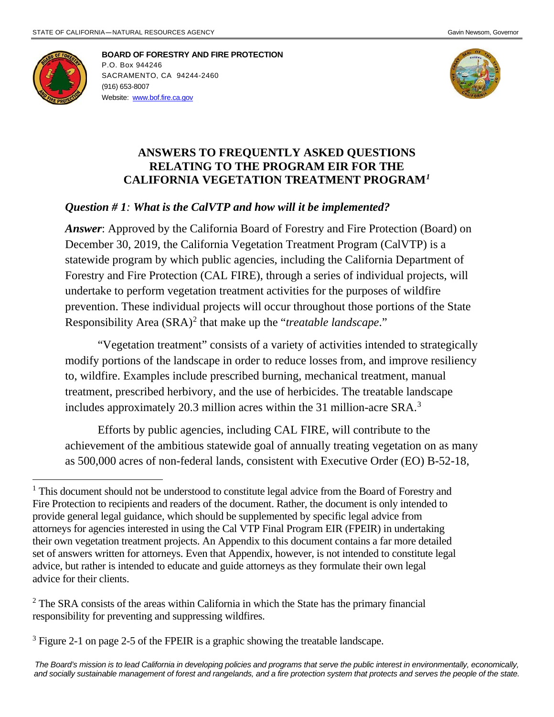

 $\overline{a}$ 

**BOARD OF FORESTRY AND FIRE PROTECTION** P.O. Box 944246 SACRAMENTO, CA 94244-2460 (916) 653-8007 Website: [www.bof.fire.ca.gov](http://www.bof.fire.ca.gov/)



### **ANSWERS TO FREQUENTLY ASKED QUESTIONS RELATING TO THE PROGRAM EIR FOR THE CALIFORNIA VEGETATION TREATMENT PROGRAM***[1](#page-0-0)*

#### *Question # 1: What is the CalVTP and how will it be implemented?*

*Answer*: Approved by the California Board of Forestry and Fire Protection (Board) on December 30, 2019, the California Vegetation Treatment Program (CalVTP) is a statewide program by which public agencies, including the California Department of Forestry and Fire Protection (CAL FIRE), through a series of individual projects, will undertake to perform vegetation treatment activities for the purposes of wildfire prevention. These individual projects will occur throughout those portions of the State Responsibility Area (SRA)[2](#page-0-1) that make up the "*treatable landscape*."

"Vegetation treatment" consists of a variety of activities intended to strategically modify portions of the landscape in order to reduce losses from, and improve resiliency to, wildfire. Examples include prescribed burning, mechanical treatment, manual treatment, prescribed herbivory, and the use of herbicides. The treatable landscape includes approximately 20.3 million acres within the 31 million-acre SRA.[3](#page-0-2)

Efforts by public agencies, including CAL FIRE, will contribute to the achievement of the ambitious statewide goal of annually treating vegetation on as many as 500,000 acres of non-federal lands, consistent with Executive Order (EO) B-52-18,

<span id="page-0-0"></span><sup>&</sup>lt;sup>1</sup> This document should not be understood to constitute legal advice from the Board of Forestry and Fire Protection to recipients and readers of the document. Rather, the document is only intended to provide general legal guidance, which should be supplemented by specific legal advice from attorneys for agencies interested in using the Cal VTP Final Program EIR (FPEIR) in undertaking their own vegetation treatment projects. An Appendix to this document contains a far more detailed set of answers written for attorneys. Even that Appendix, however, is not intended to constitute legal advice, but rather is intended to educate and guide attorneys as they formulate their own legal advice for their clients.

<span id="page-0-1"></span> $2^2$  The SRA consists of the areas within California in which the State has the primary financial responsibility for preventing and suppressing wildfires.

<span id="page-0-2"></span><sup>&</sup>lt;sup>3</sup> Figure 2-1 on page 2-5 of the FPEIR is a graphic showing the treatable landscape.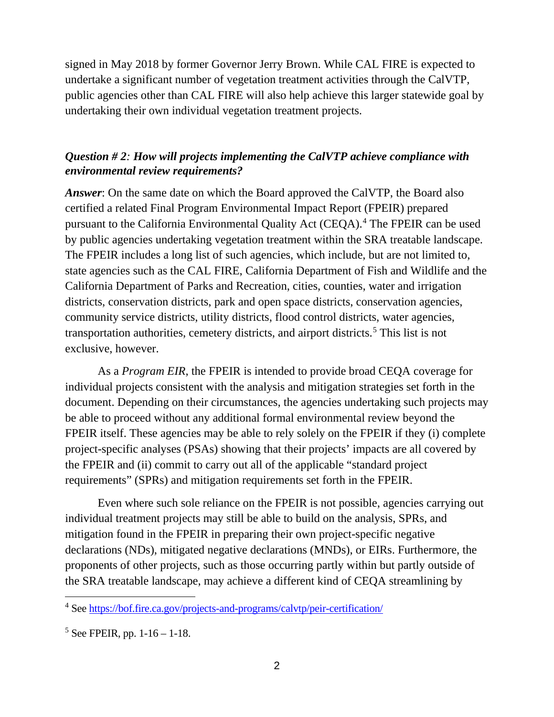signed in May 2018 by former Governor Jerry Brown. While CAL FIRE is expected to undertake a significant number of vegetation treatment activities through the CalVTP, public agencies other than CAL FIRE will also help achieve this larger statewide goal by undertaking their own individual vegetation treatment projects.

## *Question # 2: How will projects implementing the CalVTP achieve compliance with environmental review requirements?*

*Answer*: On the same date on which the Board approved the CalVTP, the Board also certified a related Final Program Environmental Impact Report (FPEIR) prepared pursuant to the California Environmental Quality Act (CEQA).[4](#page-1-0) The FPEIR can be used by public agencies undertaking vegetation treatment within the SRA treatable landscape. The FPEIR includes a long list of such agencies, which include, but are not limited to, state agencies such as the CAL FIRE, California Department of Fish and Wildlife and the California Department of Parks and Recreation, cities, counties, water and irrigation districts, conservation districts, park and open space districts, conservation agencies, community service districts, utility districts, flood control districts, water agencies, transportation authorities, cemetery districts, and airport districts.[5](#page-1-1) This list is not exclusive, however.

As a *Program EIR*, the FPEIR is intended to provide broad CEQA coverage for individual projects consistent with the analysis and mitigation strategies set forth in the document. Depending on their circumstances, the agencies undertaking such projects may be able to proceed without any additional formal environmental review beyond the FPEIR itself. These agencies may be able to rely solely on the FPEIR if they (i) complete project-specific analyses (PSAs) showing that their projects' impacts are all covered by the FPEIR and (ii) commit to carry out all of the applicable "standard project requirements" (SPRs) and mitigation requirements set forth in the FPEIR.

Even where such sole reliance on the FPEIR is not possible, agencies carrying out individual treatment projects may still be able to build on the analysis, SPRs, and mitigation found in the FPEIR in preparing their own project-specific negative declarations (NDs), mitigated negative declarations (MNDs), or EIRs. Furthermore, the proponents of other projects, such as those occurring partly within but partly outside of the SRA treatable landscape, may achieve a different kind of CEQA streamlining by

<span id="page-1-0"></span><sup>4</sup> See<https://bof.fire.ca.gov/projects-and-programs/calvtp/peir-certification/>

<span id="page-1-1"></span> $5$  See FPEIR, pp. 1-16 – 1-18.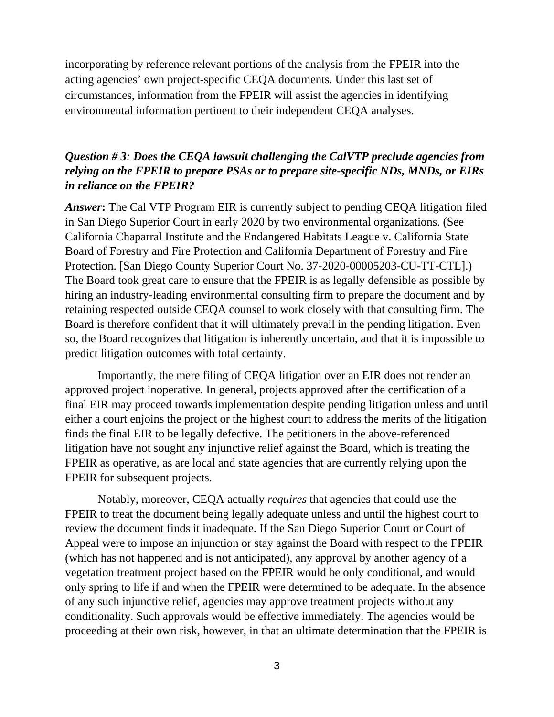incorporating by reference relevant portions of the analysis from the FPEIR into the acting agencies' own project-specific CEQA documents. Under this last set of circumstances, information from the FPEIR will assist the agencies in identifying environmental information pertinent to their independent CEQA analyses.

## *Question # 3: Does the CEQA lawsuit challenging the CalVTP preclude agencies from relying on the FPEIR to prepare PSAs or to prepare site-specific NDs, MNDs, or EIRs in reliance on the FPEIR?*

*Answer***:** The Cal VTP Program EIR is currently subject to pending CEQA litigation filed in San Diego Superior Court in early 2020 by two environmental organizations. (See California Chaparral Institute and the Endangered Habitats League v. California State Board of Forestry and Fire Protection and California Department of Forestry and Fire Protection. [San Diego County Superior Court No. 37-2020-00005203-CU-TT-CTL].) The Board took great care to ensure that the FPEIR is as legally defensible as possible by hiring an industry-leading environmental consulting firm to prepare the document and by retaining respected outside CEQA counsel to work closely with that consulting firm. The Board is therefore confident that it will ultimately prevail in the pending litigation. Even so, the Board recognizes that litigation is inherently uncertain, and that it is impossible to predict litigation outcomes with total certainty.

Importantly, the mere filing of CEQA litigation over an EIR does not render an approved project inoperative. In general, projects approved after the certification of a final EIR may proceed towards implementation despite pending litigation unless and until either a court enjoins the project or the highest court to address the merits of the litigation finds the final EIR to be legally defective. The petitioners in the above-referenced litigation have not sought any injunctive relief against the Board, which is treating the FPEIR as operative, as are local and state agencies that are currently relying upon the FPEIR for subsequent projects.

Notably, moreover, CEQA actually *requires* that agencies that could use the FPEIR to treat the document being legally adequate unless and until the highest court to review the document finds it inadequate. If the San Diego Superior Court or Court of Appeal were to impose an injunction or stay against the Board with respect to the FPEIR (which has not happened and is not anticipated), any approval by another agency of a vegetation treatment project based on the FPEIR would be only conditional, and would only spring to life if and when the FPEIR were determined to be adequate. In the absence of any such injunctive relief, agencies may approve treatment projects without any conditionality. Such approvals would be effective immediately. The agencies would be proceeding at their own risk, however, in that an ultimate determination that the FPEIR is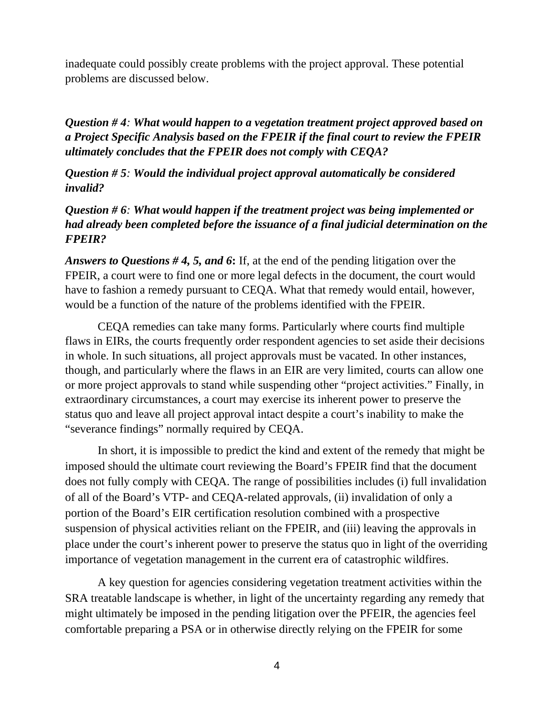inadequate could possibly create problems with the project approval. These potential problems are discussed below.

*Question # 4: What would happen to a vegetation treatment project approved based on a Project Specific Analysis based on the FPEIR if the final court to review the FPEIR ultimately concludes that the FPEIR does not comply with CEQA?*

*Question # 5: Would the individual project approval automatically be considered invalid?*

*Question # 6: What would happen if the treatment project was being implemented or had already been completed before the issuance of a final judicial determination on the FPEIR?*

*Answers to Questions # 4, 5, and 6***:** If, at the end of the pending litigation over the FPEIR, a court were to find one or more legal defects in the document, the court would have to fashion a remedy pursuant to CEQA. What that remedy would entail, however, would be a function of the nature of the problems identified with the FPEIR.

CEQA remedies can take many forms. Particularly where courts find multiple flaws in EIRs, the courts frequently order respondent agencies to set aside their decisions in whole. In such situations, all project approvals must be vacated. In other instances, though, and particularly where the flaws in an EIR are very limited, courts can allow one or more project approvals to stand while suspending other "project activities." Finally, in extraordinary circumstances, a court may exercise its inherent power to preserve the status quo and leave all project approval intact despite a court's inability to make the "severance findings" normally required by CEQA.

In short, it is impossible to predict the kind and extent of the remedy that might be imposed should the ultimate court reviewing the Board's FPEIR find that the document does not fully comply with CEQA. The range of possibilities includes (i) full invalidation of all of the Board's VTP- and CEQA-related approvals, (ii) invalidation of only a portion of the Board's EIR certification resolution combined with a prospective suspension of physical activities reliant on the FPEIR, and (iii) leaving the approvals in place under the court's inherent power to preserve the status quo in light of the overriding importance of vegetation management in the current era of catastrophic wildfires.

A key question for agencies considering vegetation treatment activities within the SRA treatable landscape is whether, in light of the uncertainty regarding any remedy that might ultimately be imposed in the pending litigation over the PFEIR, the agencies feel comfortable preparing a PSA or in otherwise directly relying on the FPEIR for some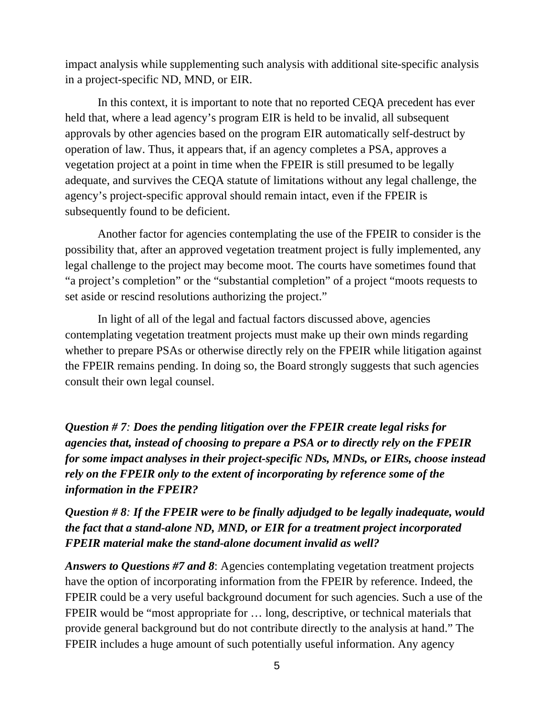impact analysis while supplementing such analysis with additional site-specific analysis in a project-specific ND, MND, or EIR.

In this context, it is important to note that no reported CEQA precedent has ever held that, where a lead agency's program EIR is held to be invalid, all subsequent approvals by other agencies based on the program EIR automatically self-destruct by operation of law. Thus, it appears that, if an agency completes a PSA, approves a vegetation project at a point in time when the FPEIR is still presumed to be legally adequate, and survives the CEQA statute of limitations without any legal challenge, the agency's project-specific approval should remain intact, even if the FPEIR is subsequently found to be deficient.

Another factor for agencies contemplating the use of the FPEIR to consider is the possibility that, after an approved vegetation treatment project is fully implemented, any legal challenge to the project may become moot. The courts have sometimes found that "a project's completion" or the "substantial completion" of a project "moots requests to set aside or rescind resolutions authorizing the project."

In light of all of the legal and factual factors discussed above, agencies contemplating vegetation treatment projects must make up their own minds regarding whether to prepare PSAs or otherwise directly rely on the FPEIR while litigation against the FPEIR remains pending. In doing so, the Board strongly suggests that such agencies consult their own legal counsel.

*Question # 7: Does the pending litigation over the FPEIR create legal risks for agencies that, instead of choosing to prepare a PSA or to directly rely on the FPEIR for some impact analyses in their project-specific NDs, MNDs, or EIRs, choose instead rely on the FPEIR only to the extent of incorporating by reference some of the information in the FPEIR?* 

# *Question # 8: If the FPEIR were to be finally adjudged to be legally inadequate, would the fact that a stand-alone ND, MND, or EIR for a treatment project incorporated FPEIR material make the stand-alone document invalid as well?*

*Answers to Questions #7 and 8*: Agencies contemplating vegetation treatment projects have the option of incorporating information from the FPEIR by reference. Indeed, the FPEIR could be a very useful background document for such agencies. Such a use of the FPEIR would be "most appropriate for … long, descriptive, or technical materials that provide general background but do not contribute directly to the analysis at hand." The FPEIR includes a huge amount of such potentially useful information. Any agency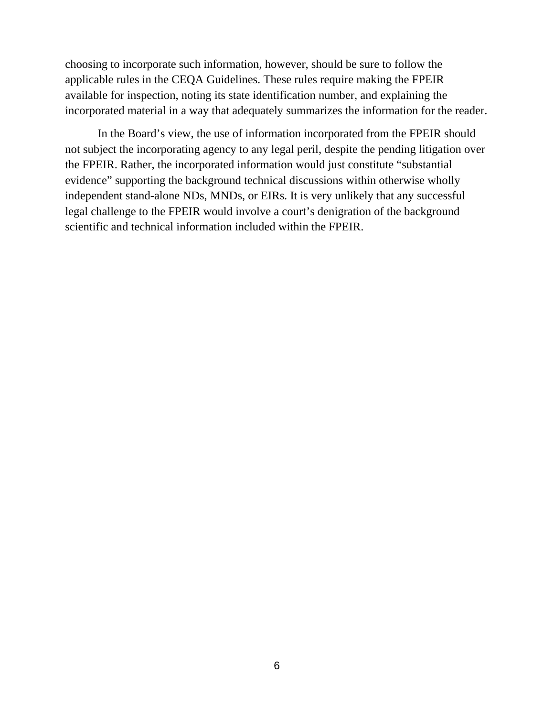choosing to incorporate such information, however, should be sure to follow the applicable rules in the CEQA Guidelines. These rules require making the FPEIR available for inspection, noting its state identification number, and explaining the incorporated material in a way that adequately summarizes the information for the reader.

In the Board's view, the use of information incorporated from the FPEIR should not subject the incorporating agency to any legal peril, despite the pending litigation over the FPEIR. Rather, the incorporated information would just constitute "substantial evidence" supporting the background technical discussions within otherwise wholly independent stand-alone NDs, MNDs, or EIRs. It is very unlikely that any successful legal challenge to the FPEIR would involve a court's denigration of the background scientific and technical information included within the FPEIR.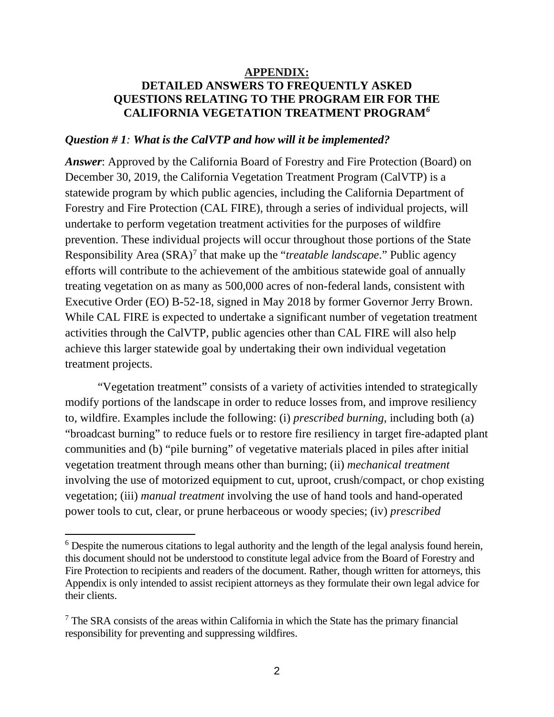### **APPENDIX: DETAILED ANSWERS TO FREQUENTLY ASKED QUESTIONS RELATING TO THE PROGRAM EIR FOR THE CALIFORNIA VEGETATION TREATMENT PROGRAM***[6](#page-6-0)*

#### *Question # 1: What is the CalVTP and how will it be implemented?*

*Answer*: Approved by the California Board of Forestry and Fire Protection (Board) on December 30, 2019, the California Vegetation Treatment Program (CalVTP) is a statewide program by which public agencies, including the California Department of Forestry and Fire Protection (CAL FIRE), through a series of individual projects, will undertake to perform vegetation treatment activities for the purposes of wildfire prevention. These individual projects will occur throughout those portions of the State Responsibility Area (SRA)<sup>[7](#page-6-1)</sup> that make up the "*treatable landscape*." Public agency efforts will contribute to the achievement of the ambitious statewide goal of annually treating vegetation on as many as 500,000 acres of non-federal lands, consistent with Executive Order (EO) B-52-18, signed in May 2018 by former Governor Jerry Brown. While CAL FIRE is expected to undertake a significant number of vegetation treatment activities through the CalVTP, public agencies other than CAL FIRE will also help achieve this larger statewide goal by undertaking their own individual vegetation treatment projects.

"Vegetation treatment" consists of a variety of activities intended to strategically modify portions of the landscape in order to reduce losses from, and improve resiliency to, wildfire. Examples include the following: (i) *prescribed burning*, including both (a) "broadcast burning" to reduce fuels or to restore fire resiliency in target fire-adapted plant communities and (b) "pile burning" of vegetative materials placed in piles after initial vegetation treatment through means other than burning; (ii) *mechanical treatment*  involving the use of motorized equipment to cut, uproot, crush/compact, or chop existing vegetation; (iii) *manual treatment* involving the use of hand tools and hand-operated power tools to cut, clear, or prune herbaceous or woody species; (iv) *prescribed* 

<span id="page-6-0"></span> $6$  Despite the numerous citations to legal authority and the length of the legal analysis found herein, this document should not be understood to constitute legal advice from the Board of Forestry and Fire Protection to recipients and readers of the document. Rather, though written for attorneys, this Appendix is only intended to assist recipient attorneys as they formulate their own legal advice for their clients.

<span id="page-6-1"></span><sup>&</sup>lt;sup>7</sup> The SRA consists of the areas within California in which the State has the primary financial responsibility for preventing and suppressing wildfires.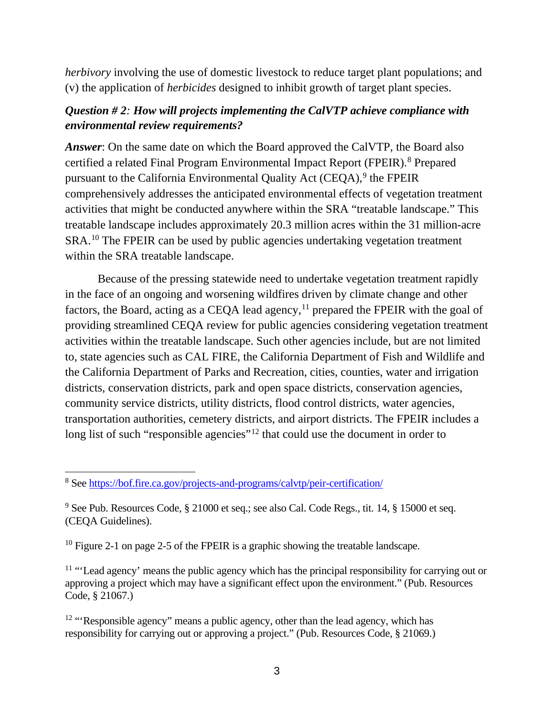*herbivory* involving the use of domestic livestock to reduce target plant populations; and (v) the application of *herbicides* designed to inhibit growth of target plant species.

## *Question # 2: How will projects implementing the CalVTP achieve compliance with environmental review requirements?*

*Answer*: On the same date on which the Board approved the CalVTP, the Board also certified a related Final Program Environmental Impact Report (FPEIR).<sup>8</sup> Prepared pursuant to the California Environmental Quality Act (CEQA),<sup>[9](#page-7-1)</sup> the FPEIR comprehensively addresses the anticipated environmental effects of vegetation treatment activities that might be conducted anywhere within the SRA "treatable landscape." This treatable landscape includes approximately 20.3 million acres within the 31 million-acre SRA.[10](#page-7-2) The FPEIR can be used by public agencies undertaking vegetation treatment within the SRA treatable landscape.

Because of the pressing statewide need to undertake vegetation treatment rapidly in the face of an ongoing and worsening wildfires driven by climate change and other factors, the Board, acting as a CEQA lead agency,<sup>[11](#page-7-3)</sup> prepared the FPEIR with the goal of providing streamlined CEQA review for public agencies considering vegetation treatment activities within the treatable landscape. Such other agencies include, but are not limited to, state agencies such as CAL FIRE, the California Department of Fish and Wildlife and the California Department of Parks and Recreation, cities, counties, water and irrigation districts, conservation districts, park and open space districts, conservation agencies, community service districts, utility districts, flood control districts, water agencies, transportation authorities, cemetery districts, and airport districts. The FPEIR includes a long list of such "responsible agencies"<sup>[12](#page-7-4)</sup> that could use the document in order to

<span id="page-7-2"></span> $10$  Figure 2-1 on page 2-5 of the FPEIR is a graphic showing the treatable landscape.

<span id="page-7-3"></span> $11$  "'Lead agency' means the public agency which has the principal responsibility for carrying out or approving a project which may have a significant effect upon the environment." (Pub. Resources Code, § 21067.)

<span id="page-7-4"></span><sup>12</sup> "Responsible agency" means a public agency, other than the lead agency, which has responsibility for carrying out or approving a project." (Pub. Resources Code, § 21069.)

<span id="page-7-0"></span> $\overline{a}$ <sup>8</sup> See<https://bof.fire.ca.gov/projects-and-programs/calvtp/peir-certification/>

<span id="page-7-1"></span><sup>&</sup>lt;sup>9</sup> See Pub. Resources Code, § 21000 et seq.; see also Cal. Code Regs., tit. 14, § 15000 et seq. (CEQA Guidelines).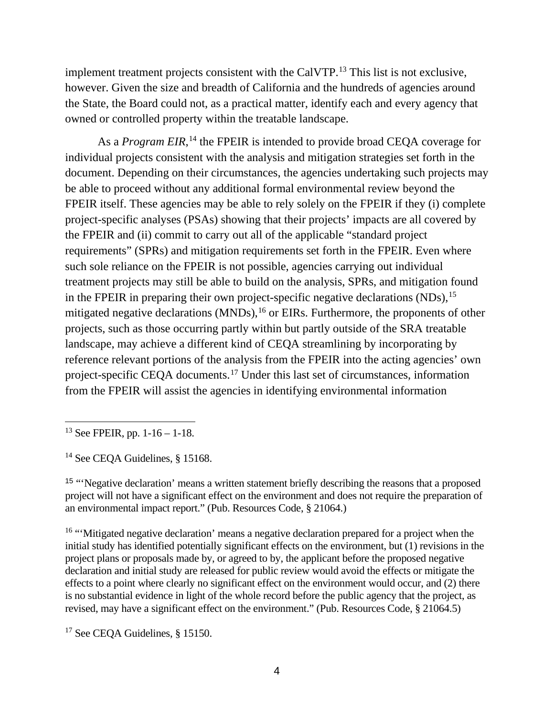implement treatment projects consistent with the CalVTP.<sup>[13](#page-8-0)</sup> This list is not exclusive, however. Given the size and breadth of California and the hundreds of agencies around the State, the Board could not, as a practical matter, identify each and every agency that owned or controlled property within the treatable landscape.

As a *Program EIR*,<sup>[14](#page-8-1)</sup> the FPEIR is intended to provide broad CEQA coverage for individual projects consistent with the analysis and mitigation strategies set forth in the document. Depending on their circumstances, the agencies undertaking such projects may be able to proceed without any additional formal environmental review beyond the FPEIR itself. These agencies may be able to rely solely on the FPEIR if they (i) complete project-specific analyses (PSAs) showing that their projects' impacts are all covered by the FPEIR and (ii) commit to carry out all of the applicable "standard project requirements" (SPRs) and mitigation requirements set forth in the FPEIR. Even where such sole reliance on the FPEIR is not possible, agencies carrying out individual treatment projects may still be able to build on the analysis, SPRs, and mitigation found in the FPEIR in preparing their own project-specific negative declarations (NDs),<sup>[15](#page-8-2)</sup> mitigated negative declarations  $(MNDs)$ , <sup>16</sup> or EIRs. Furthermore, the proponents of other projects, such as those occurring partly within but partly outside of the SRA treatable landscape, may achieve a different kind of CEQA streamlining by incorporating by reference relevant portions of the analysis from the FPEIR into the acting agencies' own project-specific CEQA documents.[17](#page-8-4) Under this last set of circumstances, information from the FPEIR will assist the agencies in identifying environmental information

<span id="page-8-2"></span><sup>15</sup> "Negative declaration' means a written statement briefly describing the reasons that a proposed project will not have a significant effect on the environment and does not require the preparation of an environmental impact report." (Pub. Resources Code, § 21064.)

<span id="page-8-3"></span><sup>16</sup> "Mitigated negative declaration' means a negative declaration prepared for a project when the initial study has identified potentially significant effects on the environment, but (1) revisions in the project plans or proposals made by, or agreed to by, the applicant before the proposed negative declaration and initial study are released for public review would avoid the effects or mitigate the effects to a point where clearly no significant effect on the environment would occur, and (2) there is no substantial evidence in light of the whole record before the public agency that the project, as revised, may have a significant effect on the environment." (Pub. Resources Code, § 21064.5)

<span id="page-8-4"></span><sup>17</sup> See CEOA Guidelines, § 15150.

<span id="page-8-0"></span> $\overline{a}$  $13$  See FPEIR, pp. 1-16 – 1-18.

<span id="page-8-1"></span><sup>&</sup>lt;sup>14</sup> See CEQA Guidelines, § 15168.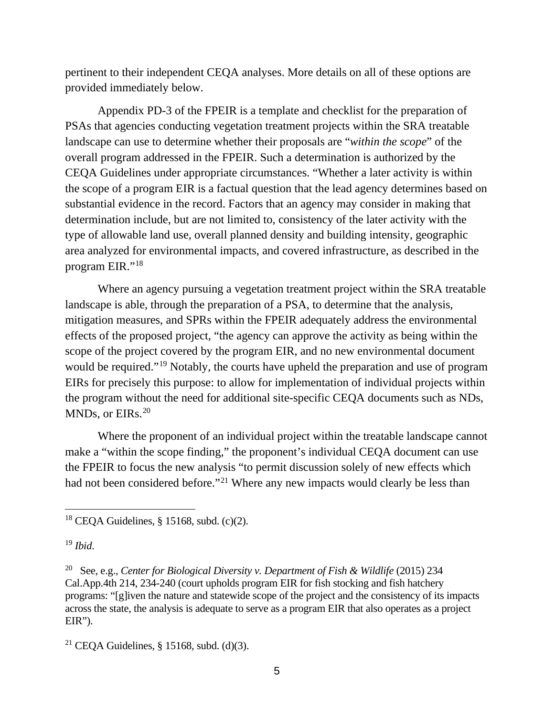pertinent to their independent CEQA analyses. More details on all of these options are provided immediately below.

Appendix PD-3 of the FPEIR is a template and checklist for the preparation of PSAs that agencies conducting vegetation treatment projects within the SRA treatable landscape can use to determine whether their proposals are "*within the scope*" of the overall program addressed in the FPEIR. Such a determination is authorized by the CEQA Guidelines under appropriate circumstances. "Whether a later activity is within the scope of a program EIR is a factual question that the lead agency determines based on substantial evidence in the record. Factors that an agency may consider in making that determination include, but are not limited to, consistency of the later activity with the type of allowable land use, overall planned density and building intensity, geographic area analyzed for environmental impacts, and covered infrastructure, as described in the program EIR."[18](#page-9-0)

Where an agency pursuing a vegetation treatment project within the SRA treatable landscape is able, through the preparation of a PSA, to determine that the analysis, mitigation measures, and SPRs within the FPEIR adequately address the environmental effects of the proposed project, "the agency can approve the activity as being within the scope of the project covered by the program EIR, and no new environmental document would be required."<sup>[19](#page-9-1)</sup> Notably, the courts have upheld the preparation and use of program EIRs for precisely this purpose: to allow for implementation of individual projects within the program without the need for additional site-specific CEQA documents such as NDs, MNDs, or EIRs.<sup>[20](#page-9-2)</sup>

Where the proponent of an individual project within the treatable landscape cannot make a "within the scope finding," the proponent's individual CEQA document can use the FPEIR to focus the new analysis "to permit discussion solely of new effects which had not been considered before."<sup>[21](#page-9-3)</sup> Where any new impacts would clearly be less than

<span id="page-9-0"></span> $\overline{a}$  $18$  CEQA Guidelines, § 15168, subd. (c)(2).

<span id="page-9-1"></span><sup>19</sup> *Ibid*.

<span id="page-9-2"></span><sup>20</sup> See, e.g., *Center for Biological Diversity v. Department of Fish & Wildlife* (2015) 234 Cal.App.4th 214, 234-240 (court upholds program EIR for fish stocking and fish hatchery programs: "[g]iven the nature and statewide scope of the project and the consistency of its impacts across the state, the analysis is adequate to serve as a program EIR that also operates as a project  $EIR$ ").

<span id="page-9-3"></span><sup>&</sup>lt;sup>21</sup> CEQA Guidelines, § 15168, subd. (d)(3).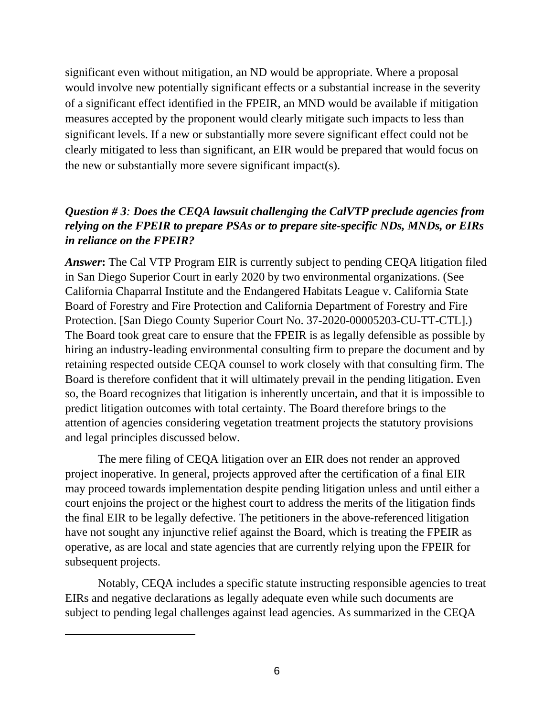significant even without mitigation, an ND would be appropriate. Where a proposal would involve new potentially significant effects or a substantial increase in the severity of a significant effect identified in the FPEIR, an MND would be available if mitigation measures accepted by the proponent would clearly mitigate such impacts to less than significant levels. If a new or substantially more severe significant effect could not be clearly mitigated to less than significant, an EIR would be prepared that would focus on the new or substantially more severe significant impact(s).

# *Question # 3: Does the CEQA lawsuit challenging the CalVTP preclude agencies from relying on the FPEIR to prepare PSAs or to prepare site-specific NDs, MNDs, or EIRs in reliance on the FPEIR?*

*Answer***:** The Cal VTP Program EIR is currently subject to pending CEQA litigation filed in San Diego Superior Court in early 2020 by two environmental organizations. (See California Chaparral Institute and the Endangered Habitats League v. California State Board of Forestry and Fire Protection and California Department of Forestry and Fire Protection. [San Diego County Superior Court No. 37-2020-00005203-CU-TT-CTL].) The Board took great care to ensure that the FPEIR is as legally defensible as possible by hiring an industry-leading environmental consulting firm to prepare the document and by retaining respected outside CEQA counsel to work closely with that consulting firm. The Board is therefore confident that it will ultimately prevail in the pending litigation. Even so, the Board recognizes that litigation is inherently uncertain, and that it is impossible to predict litigation outcomes with total certainty. The Board therefore brings to the attention of agencies considering vegetation treatment projects the statutory provisions and legal principles discussed below.

The mere filing of CEQA litigation over an EIR does not render an approved project inoperative. In general, projects approved after the certification of a final EIR may proceed towards implementation despite pending litigation unless and until either a court enjoins the project or the highest court to address the merits of the litigation finds the final EIR to be legally defective. The petitioners in the above-referenced litigation have not sought any injunctive relief against the Board, which is treating the FPEIR as operative, as are local and state agencies that are currently relying upon the FPEIR for subsequent projects.

Notably, CEQA includes a specific statute instructing responsible agencies to treat EIRs and negative declarations as legally adequate even while such documents are subject to pending legal challenges against lead agencies. As summarized in the CEQA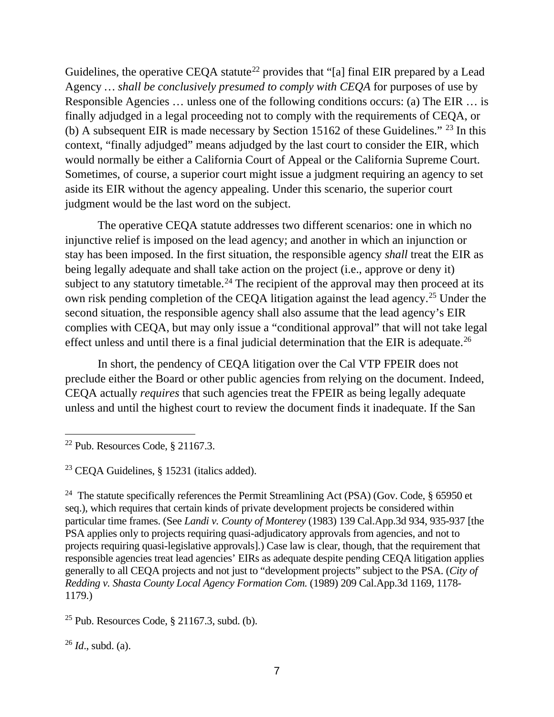Guidelines, the operative CEQA statute<sup>[22](#page-11-0)</sup> provides that "[a] final EIR prepared by a Lead Agency *… shall be conclusively presumed to comply with CEQA* for purposes of use by Responsible Agencies … unless one of the following conditions occurs: (a) The EIR … is finally adjudged in a legal proceeding not to comply with the requirements of CEQA, or (b) A subsequent EIR is made necessary by Section 15162 of these Guidelines." [23](#page-11-1) In this context, "finally adjudged" means adjudged by the last court to consider the EIR, which would normally be either a California Court of Appeal or the California Supreme Court. Sometimes, of course, a superior court might issue a judgment requiring an agency to set aside its EIR without the agency appealing. Under this scenario, the superior court judgment would be the last word on the subject.

The operative CEQA statute addresses two different scenarios: one in which no injunctive relief is imposed on the lead agency; and another in which an injunction or stay has been imposed. In the first situation, the responsible agency *shall* treat the EIR as being legally adequate and shall take action on the project (i.e., approve or deny it) subject to any statutory timetable.<sup>[24](#page-11-2)</sup> The recipient of the approval may then proceed at its own risk pending completion of the CEQA litigation against the lead agency.<sup>[25](#page-11-3)</sup> Under the second situation, the responsible agency shall also assume that the lead agency's EIR complies with CEQA, but may only issue a "conditional approval" that will not take legal effect unless and until there is a final judicial determination that the EIR is adequate.<sup>[26](#page-11-4)</sup>

In short, the pendency of CEQA litigation over the Cal VTP FPEIR does not preclude either the Board or other public agencies from relying on the document. Indeed, CEQA actually *requires* that such agencies treat the FPEIR as being legally adequate unless and until the highest court to review the document finds it inadequate. If the San

<span id="page-11-2"></span><sup>24</sup> The statute specifically references the Permit Streamlining Act (PSA) (Gov. Code,  $\S$  65950 et seq.), which requires that certain kinds of private development projects be considered within particular time frames. (See *Landi v. County of Monterey* (1983) 139 Cal.App.3d 934, 935-937 [the PSA applies only to projects requiring quasi-adjudicatory approvals from agencies, and not to projects requiring quasi-legislative approvals].) Case law is clear, though, that the requirement that responsible agencies treat lead agencies' EIRs as adequate despite pending CEQA litigation applies generally to all CEQA projects and not just to "development projects" subject to the PSA. (*City of Redding v. Shasta County Local Agency Formation Com.* (1989) 209 Cal.App.3d 1169, 1178- 1179.)

<span id="page-11-3"></span><sup>25</sup> Pub. Resources Code,  $\S$  21167.3, subd. (b).

<span id="page-11-4"></span><sup>26</sup> *Id*., subd. (a).

<span id="page-11-0"></span> $22$  Pub. Resources Code,  $\S$  21167.3.

<span id="page-11-1"></span><sup>23</sup> CEQA Guidelines, § 15231 (italics added).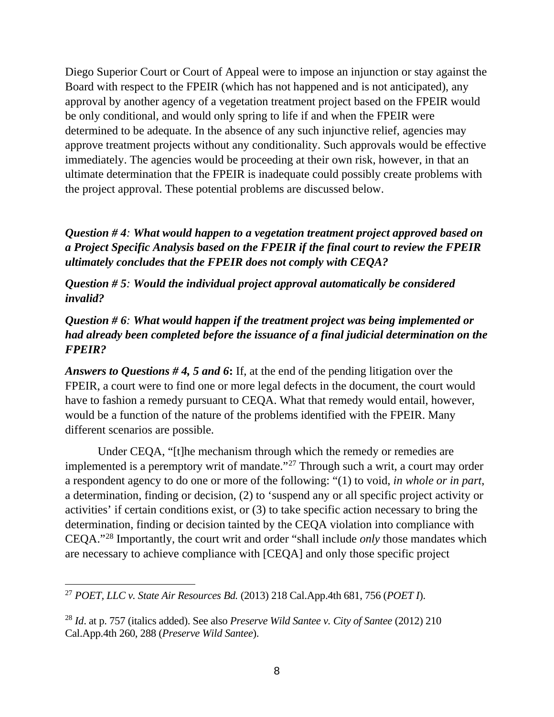Diego Superior Court or Court of Appeal were to impose an injunction or stay against the Board with respect to the FPEIR (which has not happened and is not anticipated), any approval by another agency of a vegetation treatment project based on the FPEIR would be only conditional, and would only spring to life if and when the FPEIR were determined to be adequate. In the absence of any such injunctive relief, agencies may approve treatment projects without any conditionality. Such approvals would be effective immediately. The agencies would be proceeding at their own risk, however, in that an ultimate determination that the FPEIR is inadequate could possibly create problems with the project approval. These potential problems are discussed below.

*Question # 4: What would happen to a vegetation treatment project approved based on a Project Specific Analysis based on the FPEIR if the final court to review the FPEIR ultimately concludes that the FPEIR does not comply with CEQA?* 

*Question # 5: Would the individual project approval automatically be considered invalid?*

# *Question # 6: What would happen if the treatment project was being implemented or had already been completed before the issuance of a final judicial determination on the FPEIR?*

*Answers to Questions # 4, 5 and 6***:** If, at the end of the pending litigation over the FPEIR, a court were to find one or more legal defects in the document, the court would have to fashion a remedy pursuant to CEQA. What that remedy would entail, however, would be a function of the nature of the problems identified with the FPEIR. Many different scenarios are possible.

Under CEQA, "[t]he mechanism through which the remedy or remedies are implemented is a peremptory writ of mandate."[27](#page-12-0) Through such a writ, a court may order a respondent agency to do one or more of the following: "(1) to void, *in whole or in part*, a determination, finding or decision, (2) to 'suspend any or all specific project activity or activities' if certain conditions exist, or (3) to take specific action necessary to bring the determination, finding or decision tainted by the CEQA violation into compliance with CEQA."[28](#page-12-1) Importantly, the court writ and order "shall include *only* those mandates which are necessary to achieve compliance with [CEQA] and only those specific project

<span id="page-12-0"></span><sup>27</sup> *POET, LLC v. State Air Resources Bd.* (2013) 218 Cal.App.4th 681, 756 (*POET I*).

<span id="page-12-1"></span><sup>28</sup> *Id*. at p. 757 (italics added). See also *Preserve Wild Santee v. City of Santee* (2012) 210 Cal.App.4th 260, 288 (*Preserve Wild Santee*).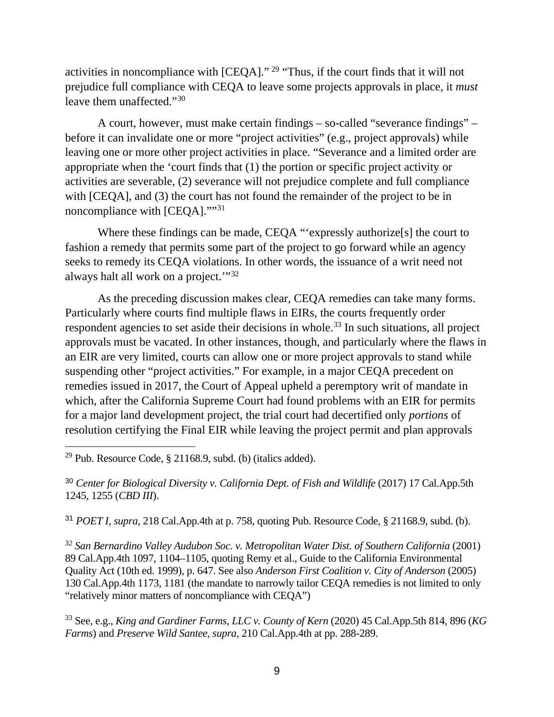activities in noncompliance with [CEQA]." [29](#page-13-0) "Thus, if the court finds that it will not prejudice full compliance with CEQA to leave some projects approvals in place, it *must* leave them unaffected."[30](#page-13-1)

A court, however, must make certain findings – so-called "severance findings" – before it can invalidate one or more "project activities" (e.g., project approvals) while leaving one or more other project activities in place. "Severance and a limited order are appropriate when the 'court finds that (1) the portion or specific project activity or activities are severable, (2) severance will not prejudice complete and full compliance with [CEQA], and (3) the court has not found the remainder of the project to be in noncompliance with [CEQA].""[31](#page-13-2)

Where these findings can be made, CEQA "'expressly authorize<sup>[s]</sup> the court to fashion a remedy that permits some part of the project to go forward while an agency seeks to remedy its CEQA violations. In other words, the issuance of a writ need not always halt all work on a project.'"[32](#page-13-3)

As the preceding discussion makes clear, CEQA remedies can take many forms. Particularly where courts find multiple flaws in EIRs, the courts frequently order respondent agencies to set aside their decisions in whole.<sup>[33](#page-13-4)</sup> In such situations, all project approvals must be vacated. In other instances, though, and particularly where the flaws in an EIR are very limited, courts can allow one or more project approvals to stand while suspending other "project activities." For example, in a major CEQA precedent on remedies issued in 2017, the Court of Appeal upheld a peremptory writ of mandate in which, after the California Supreme Court had found problems with an EIR for permits for a major land development project, the trial court had decertified only *portions* of resolution certifying the Final EIR while leaving the project permit and plan approvals

<span id="page-13-0"></span> $\overline{a}$ <sup>29</sup> Pub. Resource Code,  $\S$  21168.9, subd. (b) (italics added).

<span id="page-13-1"></span><sup>30</sup> *Center for Biological Diversity v. California Dept. of Fish and Wildlife* (2017) 17 Cal.App.5th 1245, 1255 (*CBD III*).

<span id="page-13-2"></span><sup>31</sup> *POET I*, *supra*, 218 Cal.App.4th at p. 758, quoting Pub. Resource Code, § 21168.9, subd. (b).

<span id="page-13-3"></span>*<sup>32</sup> San Bernardino Valley Audubon Soc. v. Metropolitan Water Dist. of Southern California* (2001) 89 Cal.App.4th 1097, 1104–1105, quoting Remy et al., Guide to the California Environmental Quality Act (10th ed. 1999), p. 647. See also *Anderson First Coalition v. City of Anderson* (2005) 130 Cal.App.4th 1173, 1181 (the mandate to narrowly tailor CEQA remedies is not limited to only "relatively minor matters of noncompliance with CEQA")

<span id="page-13-4"></span><sup>33</sup> See, e.g., *King and Gardiner Farms, LLC v. County of Kern* (2020) 45 Cal.App.5th 814, 896 (*KG Farms*) and *Preserve Wild Santee*, *supra*, 210 Cal.App.4th at pp. 288-289.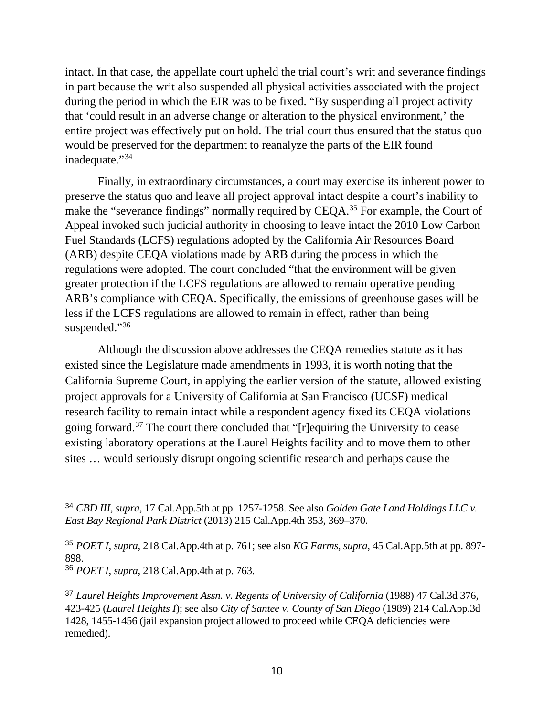intact. In that case, the appellate court upheld the trial court's writ and severance findings in part because the writ also suspended all physical activities associated with the project during the period in which the EIR was to be fixed. "By suspending all project activity that 'could result in an adverse change or alteration to the physical environment,' the entire project was effectively put on hold. The trial court thus ensured that the status quo would be preserved for the department to reanalyze the parts of the EIR found inadequate."<sup>[34](#page-14-0)</sup>

Finally, in extraordinary circumstances, a court may exercise its inherent power to preserve the status quo and leave all project approval intact despite a court's inability to make the "severance findings" normally required by CEQA.[35](#page-14-1) For example, the Court of Appeal invoked such judicial authority in choosing to leave intact the 2010 Low Carbon Fuel Standards (LCFS) regulations adopted by the California Air Resources Board (ARB) despite CEQA violations made by ARB during the process in which the regulations were adopted. The court concluded "that the environment will be given greater protection if the LCFS regulations are allowed to remain operative pending ARB's compliance with CEQA. Specifically, the emissions of greenhouse gases will be less if the LCFS regulations are allowed to remain in effect, rather than being suspended."[36](#page-14-2)

Although the discussion above addresses the CEQA remedies statute as it has existed since the Legislature made amendments in 1993, it is worth noting that the California Supreme Court, in applying the earlier version of the statute, allowed existing project approvals for a University of California at San Francisco (UCSF) medical research facility to remain intact while a respondent agency fixed its CEQA violations going forward.<sup>[37](#page-14-3)</sup> The court there concluded that " $[r]$ equiring the University to cease existing laboratory operations at the Laurel Heights facility and to move them to other sites … would seriously disrupt ongoing scientific research and perhaps cause the

<span id="page-14-0"></span> <sup>34</sup> *CBD III*, *supra*, 17 Cal.App.5th at pp. 1257-1258. See also *Golden Gate Land Holdings LLC v. East Bay Regional Park District* (2013) 215 Cal.App.4th 353, 369–370.

<span id="page-14-1"></span><sup>35</sup> *POET I*, *supra*, 218 Cal.App.4th at p. 761; see also *KG Farms*, *supra*, 45 Cal.App.5th at pp. 897- 898.

<span id="page-14-2"></span><sup>36</sup> *POET I*, *supra*, 218 Cal.App.4th at p. 763.

<span id="page-14-3"></span><sup>&</sup>lt;sup>37</sup> Laurel Heights Improvement Assn. v. Regents of University of California (1988) 47 Cal.3d 376, 423-425 (*Laurel Heights I*); see also *City of Santee v. County of San Diego* (1989) 214 Cal.App.3d 1428, 1455-1456 (jail expansion project allowed to proceed while CEQA deficiencies were remedied).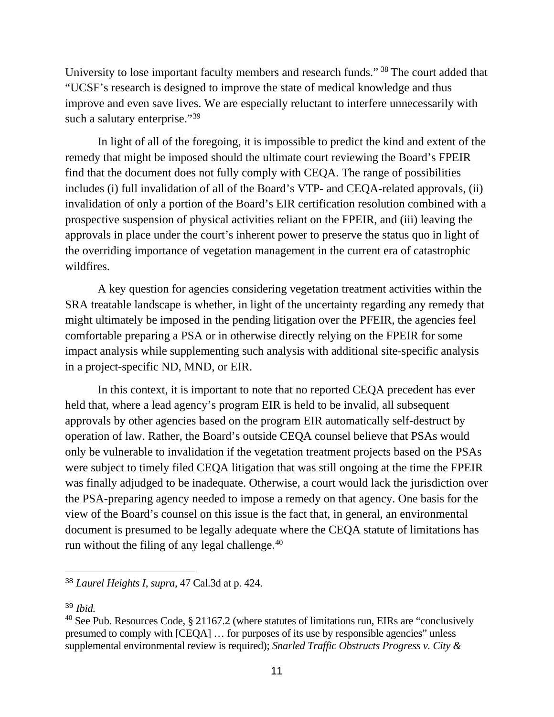University to lose important faculty members and research funds." [38](#page-15-0) The court added that "UCSF's research is designed to improve the state of medical knowledge and thus improve and even save lives. We are especially reluctant to interfere unnecessarily with such a salutary enterprise."<sup>[39](#page-15-1)</sup>

In light of all of the foregoing, it is impossible to predict the kind and extent of the remedy that might be imposed should the ultimate court reviewing the Board's FPEIR find that the document does not fully comply with CEQA. The range of possibilities includes (i) full invalidation of all of the Board's VTP- and CEQA-related approvals, (ii) invalidation of only a portion of the Board's EIR certification resolution combined with a prospective suspension of physical activities reliant on the FPEIR, and (iii) leaving the approvals in place under the court's inherent power to preserve the status quo in light of the overriding importance of vegetation management in the current era of catastrophic wildfires.

A key question for agencies considering vegetation treatment activities within the SRA treatable landscape is whether, in light of the uncertainty regarding any remedy that might ultimately be imposed in the pending litigation over the PFEIR, the agencies feel comfortable preparing a PSA or in otherwise directly relying on the FPEIR for some impact analysis while supplementing such analysis with additional site-specific analysis in a project-specific ND, MND, or EIR.

In this context, it is important to note that no reported CEQA precedent has ever held that, where a lead agency's program EIR is held to be invalid, all subsequent approvals by other agencies based on the program EIR automatically self-destruct by operation of law. Rather, the Board's outside CEQA counsel believe that PSAs would only be vulnerable to invalidation if the vegetation treatment projects based on the PSAs were subject to timely filed CEQA litigation that was still ongoing at the time the FPEIR was finally adjudged to be inadequate. Otherwise, a court would lack the jurisdiction over the PSA-preparing agency needed to impose a remedy on that agency. One basis for the view of the Board's counsel on this issue is the fact that, in general, an environmental document is presumed to be legally adequate where the CEQA statute of limitations has run without the filing of any legal challenge.<sup>[40](#page-15-2)</sup>

<span id="page-15-0"></span> <sup>38</sup> *Laurel Heights I*, *supra*, 47 Cal.3d at p. 424.

<span id="page-15-1"></span><sup>39</sup> *Ibid.*

<span id="page-15-2"></span><sup>40</sup> See Pub. Resources Code, § 21167.2 (where statutes of limitations run, EIRs are "conclusively presumed to comply with [CEQA] … for purposes of its use by responsible agencies" unless supplemental environmental review is required); *Snarled Traffic Obstructs Progress v. City &*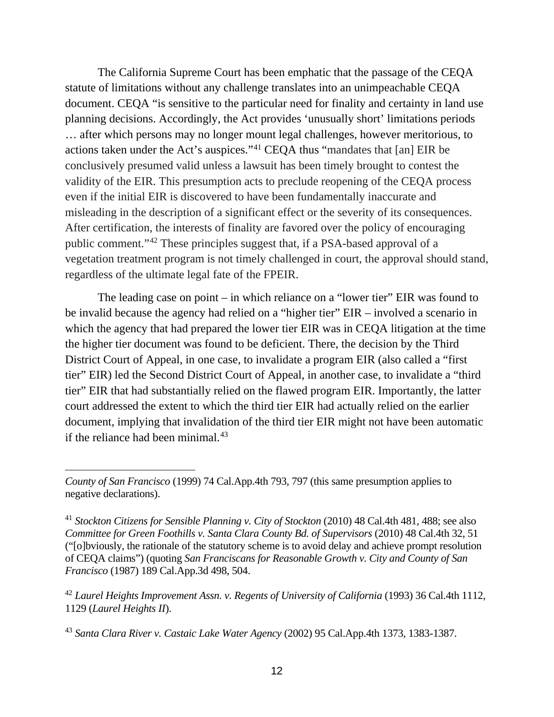The California Supreme Court has been emphatic that the passage of the CEQA statute of limitations without any challenge translates into an unimpeachable CEQA document. CEQA "is sensitive to the particular need for finality and certainty in land use planning decisions. Accordingly, the Act provides 'unusually short' limitations periods … after which persons may no longer mount legal challenges, however meritorious, to actions taken under the Act's auspices.["41](#page-16-0) CEQA thus "mandates that [an] EIR be conclusively presumed valid unless a lawsuit has been timely brought to contest the validity of the EIR. This presumption acts to preclude reopening of the CEQA process even if the initial EIR is discovered to have been fundamentally inaccurate and misleading in the description of a significant effect or the severity of its consequences. After certification, the interests of finality are favored over the policy of encouraging public comment."[42](#page-16-1) These principles suggest that, if a PSA-based approval of a vegetation treatment program is not timely challenged in court, the approval should stand, regardless of the ultimate legal fate of the FPEIR.

The leading case on point – in which reliance on a "lower tier" EIR was found to be invalid because the agency had relied on a "higher tier" EIR – involved a scenario in which the agency that had prepared the lower tier EIR was in CEQA litigation at the time the higher tier document was found to be deficient. There, the decision by the Third District Court of Appeal, in one case, to invalidate a program EIR (also called a "first tier" EIR) led the Second District Court of Appeal, in another case, to invalidate a "third tier" EIR that had substantially relied on the flawed program EIR. Importantly, the latter court addressed the extent to which the third tier EIR had actually relied on the earlier document, implying that invalidation of the third tier EIR might not have been automatic if the reliance had been minimal. $43$ 

<span id="page-16-2"></span><sup>43</sup> *Santa Clara River v. Castaic Lake Water Agency* (2002) 95 Cal.App.4th 1373, 1383-1387.

 $\overline{a}$ *County of San Francisco* (1999) 74 Cal.App.4th 793, 797 (this same presumption applies to negative declarations).

<span id="page-16-0"></span><sup>41</sup> *Stockton Citizens for Sensible Planning v. City of Stockton* (2010) 48 Cal.4th 481, 488; see also *Committee for Green Foothills v. Santa Clara County Bd. of Supervisors* (2010) 48 Cal.4th 32, 51 ("[o]bviously, the rationale of the statutory scheme is to avoid delay and achieve prompt resolution of CEQA claims") (quoting *San Franciscans for Reasonable Growth v. City and County of San Francisco* (1987) 189 Cal.App.3d 498, 504.

<span id="page-16-1"></span><sup>&</sup>lt;sup>42</sup> Laurel Heights Improvement Assn. v. Regents of University of California (1993) 36 Cal.4th 1112, 1129 (*Laurel Heights II*).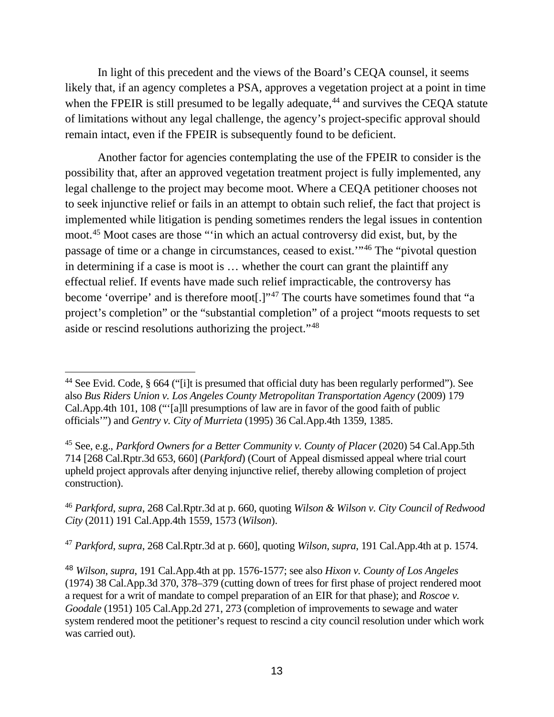In light of this precedent and the views of the Board's CEQA counsel, it seems likely that, if an agency completes a PSA, approves a vegetation project at a point in time when the FPEIR is still presumed to be legally adequate, $44$  and survives the CEQA statute of limitations without any legal challenge, the agency's project-specific approval should remain intact, even if the FPEIR is subsequently found to be deficient.

Another factor for agencies contemplating the use of the FPEIR to consider is the possibility that, after an approved vegetation treatment project is fully implemented, any legal challenge to the project may become moot. Where a CEQA petitioner chooses not to seek injunctive relief or fails in an attempt to obtain such relief, the fact that project is implemented while litigation is pending sometimes renders the legal issues in contention moot[.45](#page-17-1) Moot cases are those "'in which an actual controversy did exist, but, by the passage of time or a change in circumstances, ceased to exist.'"[46](#page-17-2) The "pivotal question in determining if a case is moot is … whether the court can grant the plaintiff any effectual relief. If events have made such relief impracticable, the controversy has become 'overripe' and is therefore moot[.]"[47](#page-17-3) The courts have sometimes found that "a project's completion" or the "substantial completion" of a project "moots requests to set aside or rescind resolutions authorizing the project."[48](#page-17-4)

<span id="page-17-3"></span><sup>47</sup> *Parkford*, *supra*, 268 Cal.Rptr.3d at p. 660], quoting *Wilson*, *supra*, 191 Cal.App.4th at p. 1574.

<span id="page-17-0"></span> $\overline{a}$ <sup>44</sup> See Evid. Code, § 664 ("[i]t is presumed that official duty has been regularly performed"). See also *Bus Riders Union v. Los Angeles County Metropolitan Transportation Agency* (2009) 179 Cal.App.4th 101, 108 ("'[a]ll presumptions of law are in favor of the good faith of public officials'") and *Gentry v. City of Murrieta* (1995) 36 Cal.App.4th 1359, 1385.

<span id="page-17-1"></span><sup>45</sup> See, e.g., *Parkford Owners for a Better Community v. County of Placer* (2020) 54 Cal.App.5th 714 [268 Cal.Rptr.3d 653, 660] (*Parkford*) (Court of Appeal dismissed appeal where trial court upheld project approvals after denying injunctive relief, thereby allowing completion of project construction).

<span id="page-17-2"></span><sup>46</sup> *Parkford*, *supra*, 268 Cal.Rptr.3d at p. 660, quoting *Wilson & Wilson v. City Council of Redwood City* (2011) 191 Cal.App.4th 1559, 1573 (*Wilson*).

<span id="page-17-4"></span><sup>48</sup> *Wilson*, *supra*, 191 Cal.App.4th at pp. 1576-1577; see also *Hixon v. County of Los Angeles* (1974) 38 Cal.App.3d 370, 378–379 (cutting down of trees for first phase of project rendered moot a request for a writ of mandate to compel preparation of an EIR for that phase); and *Roscoe v. Goodale* (1951) 105 Cal.App.2d 271, 273 (completion of improvements to sewage and water system rendered moot the petitioner's request to rescind a city council resolution under which work was carried out).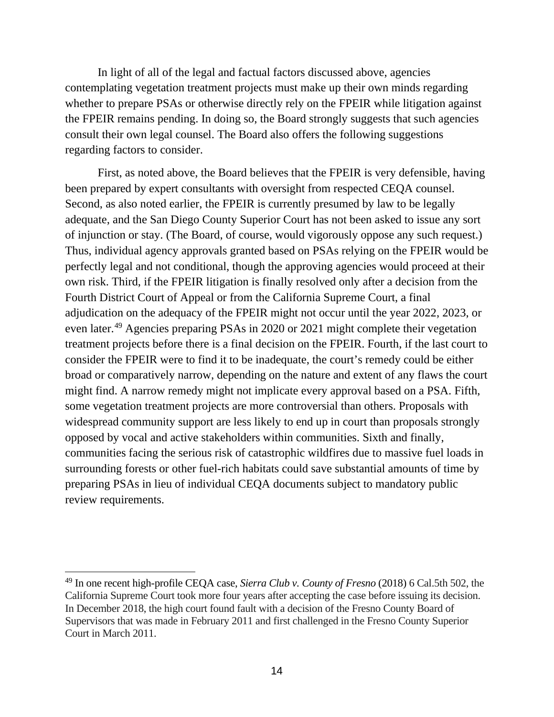In light of all of the legal and factual factors discussed above, agencies contemplating vegetation treatment projects must make up their own minds regarding whether to prepare PSAs or otherwise directly rely on the FPEIR while litigation against the FPEIR remains pending. In doing so, the Board strongly suggests that such agencies consult their own legal counsel. The Board also offers the following suggestions regarding factors to consider.

First, as noted above, the Board believes that the FPEIR is very defensible, having been prepared by expert consultants with oversight from respected CEQA counsel. Second, as also noted earlier, the FPEIR is currently presumed by law to be legally adequate, and the San Diego County Superior Court has not been asked to issue any sort of injunction or stay. (The Board, of course, would vigorously oppose any such request.) Thus, individual agency approvals granted based on PSAs relying on the FPEIR would be perfectly legal and not conditional, though the approving agencies would proceed at their own risk. Third, if the FPEIR litigation is finally resolved only after a decision from the Fourth District Court of Appeal or from the California Supreme Court, a final adjudication on the adequacy of the FPEIR might not occur until the year 2022, 2023, or even later.[49](#page-18-0) Agencies preparing PSAs in 2020 or 2021 might complete their vegetation treatment projects before there is a final decision on the FPEIR. Fourth, if the last court to consider the FPEIR were to find it to be inadequate, the court's remedy could be either broad or comparatively narrow, depending on the nature and extent of any flaws the court might find. A narrow remedy might not implicate every approval based on a PSA. Fifth, some vegetation treatment projects are more controversial than others. Proposals with widespread community support are less likely to end up in court than proposals strongly opposed by vocal and active stakeholders within communities. Sixth and finally, communities facing the serious risk of catastrophic wildfires due to massive fuel loads in surrounding forests or other fuel-rich habitats could save substantial amounts of time by preparing PSAs in lieu of individual CEQA documents subject to mandatory public review requirements.

<span id="page-18-0"></span><sup>49</sup> In one recent high-profile CEQA case, *Sierra Club v. County of Fresno* (2018) 6 Cal.5th 502, the California Supreme Court took more four years after accepting the case before issuing its decision. In December 2018, the high court found fault with a decision of the Fresno County Board of Supervisors that was made in February 2011 and first challenged in the Fresno County Superior Court in March 2011.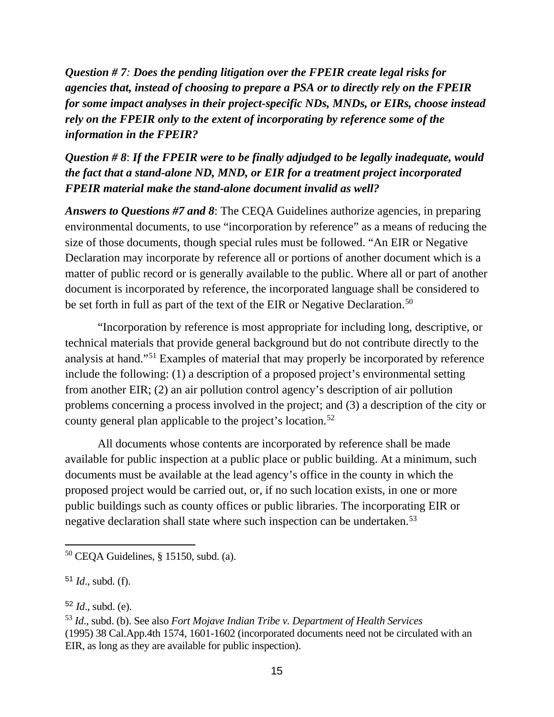*Question # 7: Does the pending litigation over the FPEIR create legal risks for agencies that, instead of choosing to prepare a PSA or to directly rely on the FPEIR for some impact analyses in their project-specific NDs, MNDs, or EIRs, choose instead rely on the FPEIR only to the extent of incorporating by reference some of the information in the FPEIR?*

*Question # 8*: *If the FPEIR were to be finally adjudged to be legally inadequate, would the fact that a stand-alone ND, MND, or EIR for a treatment project incorporated FPEIR material make the stand-alone document invalid as well?*

*Answers to Questions #7 and 8*: The CEQA Guidelines authorize agencies, in preparing environmental documents, to use "incorporation by reference" as a means of reducing the size of those documents, though special rules must be followed. "An EIR or Negative Declaration may incorporate by reference all or portions of another document which is a matter of public record or is generally available to the public. Where all or part of another document is incorporated by reference, the incorporated language shall be considered to be set forth in full as part of the text of the EIR or Negative Declaration.<sup>[50](#page-19-0)</sup>

"Incorporation by reference is most appropriate for including long, descriptive, or technical materials that provide general background but do not contribute directly to the analysis at hand."[51](#page-19-1) Examples of material that may properly be incorporated by reference include the following: (1) a description of a proposed project's environmental setting from another EIR; (2) an air pollution control agency's description of air pollution problems concerning a process involved in the project; and (3) a description of the city or county general plan applicable to the project's location.<sup>[52](#page-19-2)</sup>

All documents whose contents are incorporated by reference shall be made available for public inspection at a public place or public building. At a minimum, such documents must be available at the lead agency's office in the county in which the proposed project would be carried out, or, if no such location exists, in one or more public buildings such as county offices or public libraries. The incorporating EIR or negative declaration shall state where such inspection can be undertaken.<sup>[53](#page-19-3)</sup>

<span id="page-19-0"></span><sup>50</sup> CEQA Guidelines, § 15150, subd. (a).

<span id="page-19-1"></span><sup>51</sup> *Id*., subd. (f).

<span id="page-19-2"></span><sup>52</sup> *Id*., subd. (e).

<span id="page-19-3"></span><sup>53</sup> *Id*., subd. (b). See also *Fort Mojave Indian Tribe v. Department of Health Services* (1995) 38 Cal.App.4th 1574, 1601-1602 (incorporated documents need not be circulated with an EIR, as long as they are available for public inspection).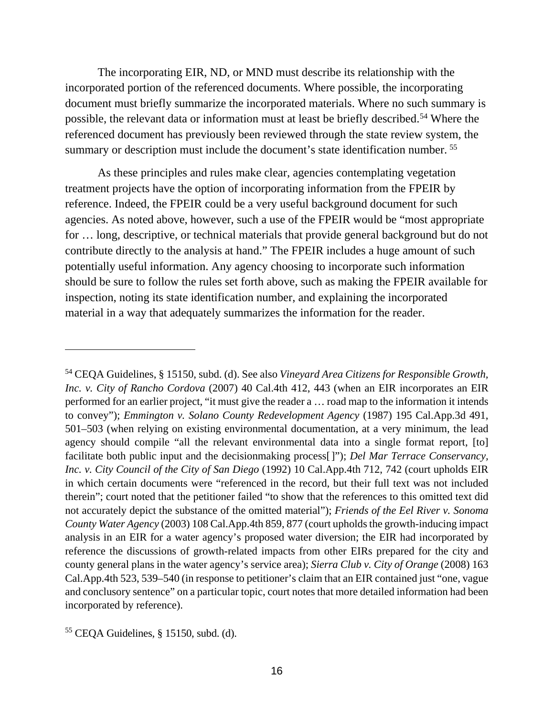The incorporating EIR, ND, or MND must describe its relationship with the incorporated portion of the referenced documents. Where possible, the incorporating document must briefly summarize the incorporated materials. Where no such summary is possible, the relevant data or information must at least be briefly described.[54](#page-20-0) Where the referenced document has previously been reviewed through the state review system, the summary or description must include the document's state identification number.<sup>55</sup>

As these principles and rules make clear, agencies contemplating vegetation treatment projects have the option of incorporating information from the FPEIR by reference. Indeed, the FPEIR could be a very useful background document for such agencies. As noted above, however, such a use of the FPEIR would be "most appropriate for … long, descriptive, or technical materials that provide general background but do not contribute directly to the analysis at hand." The FPEIR includes a huge amount of such potentially useful information. Any agency choosing to incorporate such information should be sure to follow the rules set forth above, such as making the FPEIR available for inspection, noting its state identification number, and explaining the incorporated material in a way that adequately summarizes the information for the reader.

<span id="page-20-0"></span><sup>54</sup> CEQA Guidelines, § 15150, subd. (d). See also *Vineyard Area Citizens for Responsible Growth, Inc. v. City of Rancho Cordova* (2007) 40 Cal.4th 412, 443 (when an EIR incorporates an EIR performed for an earlier project, "it must give the reader a … road map to the information it intends to convey"); *Emmington v. Solano County Redevelopment Agency* (1987) 195 Cal.App.3d 491, 501–503 (when relying on existing environmental documentation, at a very minimum, the lead agency should compile "all the relevant environmental data into a single format report, [to] facilitate both public input and the decisionmaking process[]"); *Del Mar Terrace Conservancy, Inc. v. City Council of the City of San Diego* (1992) 10 Cal.App.4th 712, 742 (court upholds EIR in which certain documents were "referenced in the record, but their full text was not included therein"; court noted that the petitioner failed "to show that the references to this omitted text did not accurately depict the substance of the omitted material"); *Friends of the Eel River v. Sonoma County Water Agency* (2003) 108 Cal.App.4th 859, 877 (court upholds the growth-inducing impact analysis in an EIR for a water agency's proposed water diversion; the EIR had incorporated by reference the discussions of growth-related impacts from other EIRs prepared for the city and county general plans in the water agency's service area); *Sierra Club v. City of Orange* (2008) 163 Cal.App.4th 523, 539–540 (in response to petitioner's claim that an EIR contained just "one, vague and conclusory sentence" on a particular topic, court notes that more detailed information had been incorporated by reference).

<span id="page-20-1"></span><sup>55</sup> CEQA Guidelines, § 15150, subd. (d).